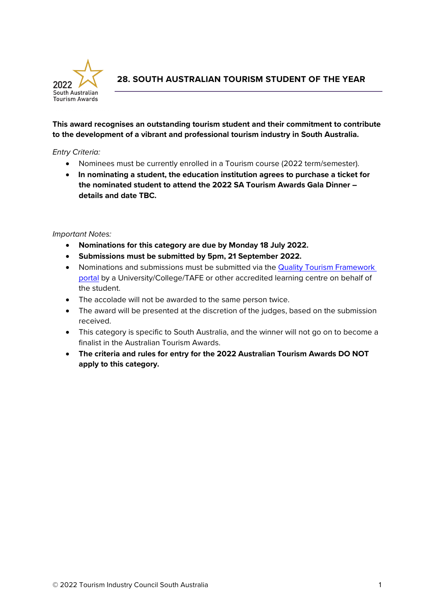

**28. SOUTH AUSTRALIAN TOURISM STUDENT OF THE YEAR**

# **This award recognises an outstanding tourism student and their commitment to contribute to the development of a vibrant and professional tourism industry in South Australia.**

## *Entry Criteria:*

- Nominees must be currently enrolled in a Tourism course (2022 term/semester).
- **In nominating a student, the education institution agrees to purchase a ticket for the nominated student to attend the 2022 SA Tourism Awards Gala Dinner – details and date TBC.**

## *Important Notes:*

- **Nominations for this category are due by Monday 18 July 2022.**
- **Submissions must be submitted by 5pm, 21 September 2022.**
- Nominations and submissions must be submitted via the [Quality Tourism Framework](https://online.qualitytourismaustralia.com/)  [portal](https://online.qualitytourismaustralia.com/) by a University/College/TAFE or other accredited learning centre on behalf of the student.
- The accolade will not be awarded to the same person twice.
- The award will be presented at the discretion of the judges, based on the submission received.
- This category is specific to South Australia, and the winner will not go on to become a finalist in the Australian Tourism Awards.
- **The criteria and rules for entry for the 2022 Australian Tourism Awards DO NOT apply to this category.**